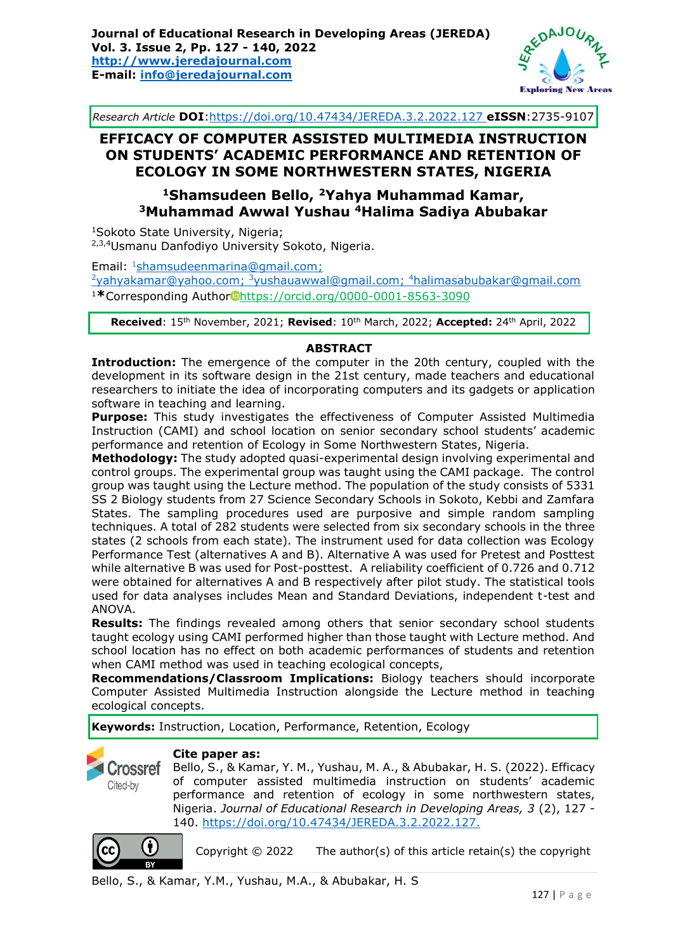

*Research Article* **DOI**[:https://doi.org/10.47434/JEREDA.3.2.2022.1](https://doi.org/10.47434/JEREDA.3.2.2022.)27 **eISSN**:2735-9107

# **EFFICACY OF COMPUTER ASSISTED MULTIMEDIA INSTRUCTION ON STUDENTS' ACADEMIC PERFORMANCE AND RETENTION OF ECOLOGY IN SOME NORTHWESTERN STATES, NIGERIA**

# **<sup>1</sup>Shamsudeen Bello, <sup>2</sup>Yahya Muhammad Kamar, <sup>3</sup>Muhammad Awwal Yushau <sup>4</sup>Halima Sadiya Abubakar**

<sup>1</sup>Sokoto State University, Nigeria; 2,3,4Usmanu Danfodiyo University Sokoto, Nigeria.

Email: <sup>1</sup>[shamsudeenmarina@gmail.com;](mailto:shamsudeenmarina@gmail.com) <sup>2</sup>[yahyakamar@yahoo.com;](mailto:yahyakamar@yahoo.com) <sup>3</sup>[yushauawwal@gmail.com;](mailto:yushauawwal@gmail.com) <sup>4</sup>[halimasabubakar@gmail.com](mailto:halimasabubakar@gmail.com) <sup>1</sup>**\***Corresponding Author https://orcid.org/0000-0001-8563-3090

**Received**: 15th November, 2021; **Revised**: 10th March, 2022; **Accepted:** 24th April, 2022

#### **ABSTRACT**

**Introduction:** The emergence of the computer in the 20th century, coupled with the development in its software design in the 21st century, made teachers and educational researchers to initiate the idea of incorporating computers and its gadgets or application software in teaching and learning.

**Purpose:** This study investigates the effectiveness of Computer Assisted Multimedia Instruction (CAMI) and school location on senior secondary school students' academic performance and retention of Ecology in Some Northwestern States, Nigeria.

**Methodology:** The study adopted quasi-experimental design involving experimental and control groups. The experimental group was taught using the CAMI package. The control group was taught using the Lecture method. The population of the study consists of 5331 SS 2 Biology students from 27 Science Secondary Schools in Sokoto, Kebbi and Zamfara States. The sampling procedures used are purposive and simple random sampling techniques. A total of 282 students were selected from six secondary schools in the three states (2 schools from each state). The instrument used for data collection was Ecology Performance Test (alternatives A and B). Alternative A was used for Pretest and Posttest while alternative B was used for Post-posttest. A reliability coefficient of 0.726 and 0.712 were obtained for alternatives A and B respectively after pilot study. The statistical tools used for data analyses includes Mean and Standard Deviations, independent t-test and ANOVA.

**Results:** The findings revealed among others that senior secondary school students taught ecology using CAMI performed higher than those taught with Lecture method. And school location has no effect on both academic performances of students and retention when CAMI method was used in teaching ecological concepts,

**Recommendations/Classroom Implications:** Biology teachers should incorporate Computer Assisted Multimedia Instruction alongside the Lecture method in teaching ecological concepts.

**Keywords:** Instruction, Location, Performance, Retention, Ecology



#### **Cite paper as:**

Bello, S., & Kamar, Y. M., Yushau, M. A., & Abubakar, H. S. (2022). Efficacy of computer assisted multimedia instruction on students' academic performance and retention of ecology in some northwestern states, Nigeria. *Journal of Educational Research in Developing Areas, 3* (2), 127 - 140. [https://doi.org/10.47434/JEREDA.3.2.2022.127.](https://doi.org/10.47434/JEREDA.3.2.2022.127)



Copyright  $©$  2022 The author(s) of this article retain(s) the copyright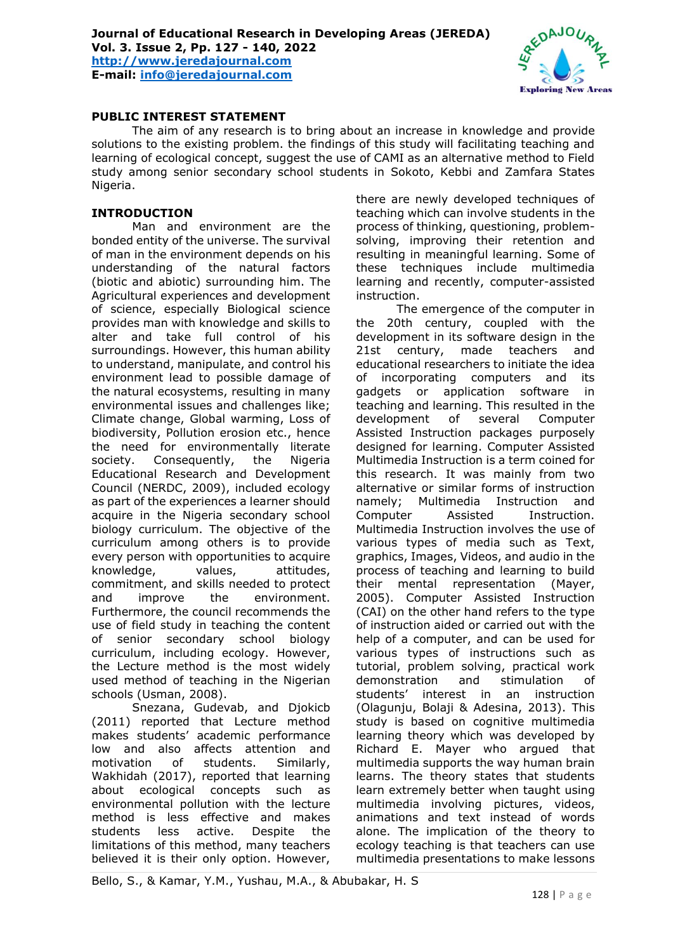

# **PUBLIC INTEREST STATEMENT**

The aim of any research is to bring about an increase in knowledge and provide solutions to the existing problem. the findings of this study will facilitating teaching and learning of ecological concept, suggest the use of CAMI as an alternative method to Field study among senior secondary school students in Sokoto, Kebbi and Zamfara States Nigeria.

#### **INTRODUCTION**

Man and environment are the bonded entity of the universe. The survival of man in the environment depends on his understanding of the natural factors (biotic and abiotic) surrounding him. The Agricultural experiences and development of science, especially Biological science provides man with knowledge and skills to alter and take full control of his surroundings. However, this human ability to understand, manipulate, and control his environment lead to possible damage of the natural ecosystems, resulting in many environmental issues and challenges like; Climate change, Global warming, Loss of biodiversity, Pollution erosion etc., hence the need for environmentally literate society. Consequently, the Nigeria Educational Research and Development Council (NERDC, 2009), included ecology as part of the experiences a learner should acquire in the Nigeria secondary school biology curriculum. The objective of the curriculum among others is to provide every person with opportunities to acquire knowledge, values, attitudes, commitment, and skills needed to protect and improve the environment. Furthermore, the council recommends the use of field study in teaching the content of senior secondary school biology curriculum, including ecology. However, the Lecture method is the most widely used method of teaching in the Nigerian schools (Usman, 2008).

Snezana, Gudevab, and Djokicb (2011) reported that Lecture method makes students' academic performance low and also affects attention and motivation of students. Similarly, Wakhidah (2017), reported that learning about ecological concepts such as environmental pollution with the lecture method is less effective and makes students less active. Despite the limitations of this method, many teachers believed it is their only option. However, there are newly developed techniques of teaching which can involve students in the process of thinking, questioning, problemsolving, improving their retention and resulting in meaningful learning. Some of these techniques include multimedia learning and recently, computer-assisted instruction.

The emergence of the computer in the 20th century, coupled with the development in its software design in the 21st century, made teachers and educational researchers to initiate the idea of incorporating computers and its gadgets or application software in teaching and learning. This resulted in the development of several Computer Assisted Instruction packages purposely designed for learning. Computer Assisted Multimedia Instruction is a term coined for this research. It was mainly from two alternative or similar forms of instruction namely; Multimedia Instruction and Computer Assisted Instruction. Multimedia Instruction involves the use of various types of media such as Text, graphics, Images, Videos, and audio in the process of teaching and learning to build their mental representation (Mayer, 2005). Computer Assisted Instruction (CAI) on the other hand refers to the type of instruction aided or carried out with the help of a computer, and can be used for various types of instructions such as tutorial, problem solving, practical work demonstration and stimulation of students' interest in an instruction (Olagunju, Bolaji & Adesina, 2013). This study is based on cognitive multimedia learning theory which was developed by Richard E. Mayer who argued that multimedia supports the way human brain learns. The theory states that students learn extremely better when taught using multimedia involving pictures, videos, animations and text instead of words alone. The implication of the theory to ecology teaching is that teachers can use multimedia presentations to make lessons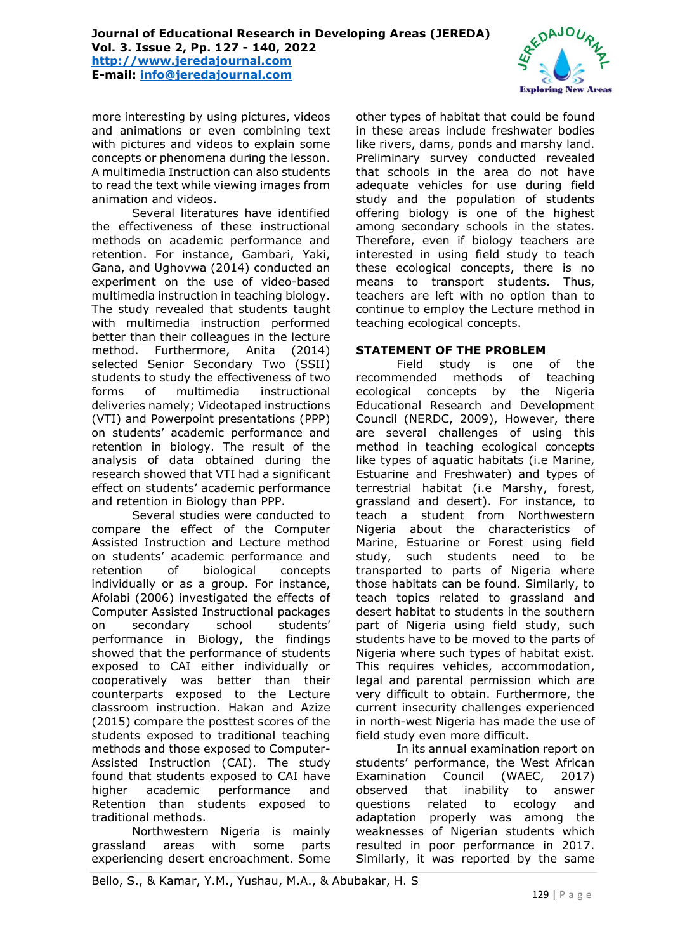**[http://www.jeredajournal.com](http://www.jeredajournal.com/) E-mail: [info@jeredajournal.com](mailto:info@jeredajournal.com)**



more interesting by using pictures, videos and animations or even combining text with pictures and videos to explain some concepts or phenomena during the lesson. A multimedia Instruction can also students to read the text while viewing images from animation and videos.

Several literatures have identified the effectiveness of these instructional methods on academic performance and retention. For instance, Gambari, Yaki, Gana, and Ughovwa (2014) conducted an experiment on the use of video-based multimedia instruction in teaching biology. The study revealed that students taught with multimedia instruction performed better than their colleagues in the lecture method. Furthermore, Anita (2014) selected Senior Secondary Two (SSII) students to study the effectiveness of two forms of multimedia instructional deliveries namely; Videotaped instructions (VTI) and Powerpoint presentations (PPP) on students' academic performance and retention in biology. The result of the analysis of data obtained during the research showed that VTI had a significant effect on students' academic performance and retention in Biology than PPP.

Several studies were conducted to compare the effect of the Computer Assisted Instruction and Lecture method on students' academic performance and retention of biological concepts individually or as a group. For instance, Afolabi (2006) investigated the effects of Computer Assisted Instructional packages on secondary school students' performance in Biology, the findings showed that the performance of students exposed to CAI either individually or cooperatively was better than their counterparts exposed to the Lecture classroom instruction. Hakan and Azize (2015) compare the posttest scores of the students exposed to traditional teaching methods and those exposed to Computer-Assisted Instruction (CAI). The study found that students exposed to CAI have higher academic performance and Retention than students exposed to traditional methods.

Northwestern Nigeria is mainly grassland areas with some parts experiencing desert encroachment. Some

other types of habitat that could be found in these areas include freshwater bodies like rivers, dams, ponds and marshy land. Preliminary survey conducted revealed that schools in the area do not have adequate vehicles for use during field study and the population of students offering biology is one of the highest among secondary schools in the states. Therefore, even if biology teachers are interested in using field study to teach these ecological concepts, there is no means to transport students. Thus, teachers are left with no option than to continue to employ the Lecture method in teaching ecological concepts.

# **STATEMENT OF THE PROBLEM**

Field study is one of the recommended methods of teaching ecological concepts by the Nigeria Educational Research and Development Council (NERDC, 2009), However, there are several challenges of using this method in teaching ecological concepts like types of aquatic habitats (i.e Marine, Estuarine and Freshwater) and types of terrestrial habitat (i.e Marshy, forest, grassland and desert). For instance, to teach a student from Northwestern Nigeria about the characteristics of Marine, Estuarine or Forest using field study, such students need to be transported to parts of Nigeria where those habitats can be found. Similarly, to teach topics related to grassland and desert habitat to students in the southern part of Nigeria using field study, such students have to be moved to the parts of Nigeria where such types of habitat exist. This requires vehicles, accommodation, legal and parental permission which are very difficult to obtain. Furthermore, the current insecurity challenges experienced in north-west Nigeria has made the use of field study even more difficult.

In its annual examination report on students' performance, the West African Examination Council (WAEC, 2017) observed that inability to answer questions related to ecology and adaptation properly was among the weaknesses of Nigerian students which resulted in poor performance in 2017. Similarly, it was reported by the same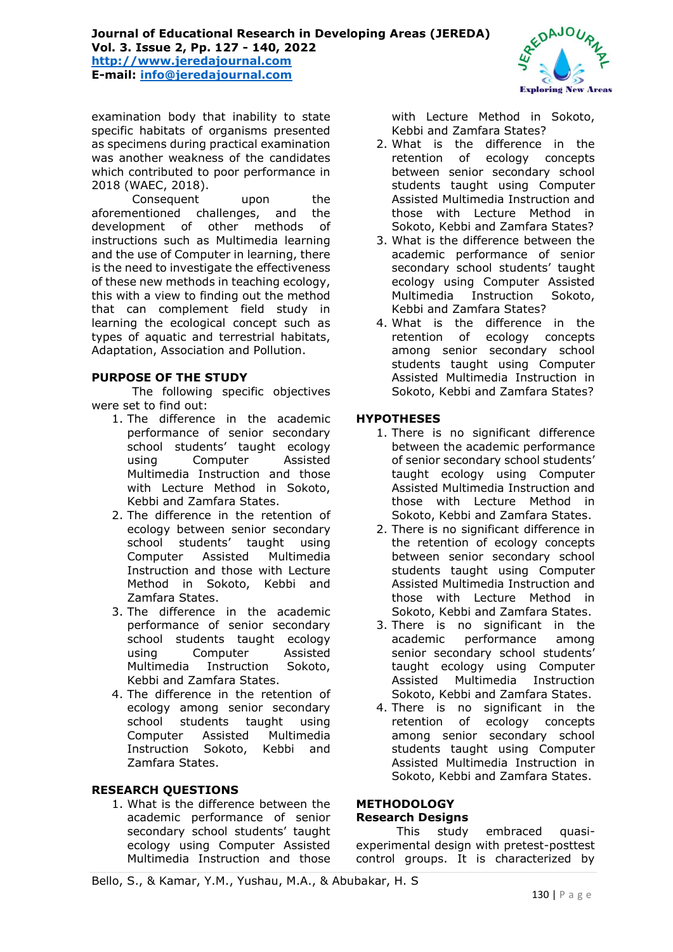examination body that inability to state specific habitats of organisms presented as specimens during practical examination was another weakness of the candidates which contributed to poor performance in 2018 (WAEC, 2018).

Consequent upon the aforementioned challenges, and the development of other methods of instructions such as Multimedia learning and the use of Computer in learning, there is the need to investigate the effectiveness of these new methods in teaching ecology, this with a view to finding out the method that can complement field study in learning the ecological concept such as types of aquatic and terrestrial habitats, Adaptation, Association and Pollution.

## **PURPOSE OF THE STUDY**

The following specific objectives were set to find out:

- 1. The difference in the academic performance of senior secondary school students' taught ecology using Computer Assisted Multimedia Instruction and those with Lecture Method in Sokoto, Kebbi and Zamfara States.
- 2. The difference in the retention of ecology between senior secondary school students' taught using Computer Assisted Multimedia Instruction and those with Lecture Method in Sokoto, Kebbi and Zamfara States.
- 3. The difference in the academic performance of senior secondary school students taught ecology using Computer Assisted Multimedia Instruction Sokoto, Kebbi and Zamfara States.
- 4. The difference in the retention of ecology among senior secondary school students taught using Computer Assisted Multimedia Instruction Sokoto, Kebbi and Zamfara States.

#### **RESEARCH QUESTIONS**

1. What is the difference between the academic performance of senior secondary school students' taught ecology using Computer Assisted Multimedia Instruction and those with Lecture Method in Sokoto, Kebbi and Zamfara States?

- 2. What is the difference in the retention of ecology concepts between senior secondary school students taught using Computer Assisted Multimedia Instruction and those with Lecture Method in Sokoto, Kebbi and Zamfara States?
- 3. What is the difference between the academic performance of senior secondary school students' taught ecology using Computer Assisted Multimedia Instruction Sokoto, Kebbi and Zamfara States?
- 4. What is the difference in the retention of ecology concepts among senior secondary school students taught using Computer Assisted Multimedia Instruction in Sokoto, Kebbi and Zamfara States?

#### **HYPOTHESES**

- 1. There is no significant difference between the academic performance of senior secondary school students' taught ecology using Computer Assisted Multimedia Instruction and those with Lecture Method in Sokoto, Kebbi and Zamfara States.
- 2. There is no significant difference in the retention of ecology concepts between senior secondary school students taught using Computer Assisted Multimedia Instruction and those with Lecture Method in Sokoto, Kebbi and Zamfara States.
- 3. There is no significant in the academic performance among senior secondary school students' taught ecology using Computer Assisted Multimedia Instruction Sokoto, Kebbi and Zamfara States.
- 4. There is no significant in the retention of ecology concepts among senior secondary school students taught using Computer Assisted Multimedia Instruction in Sokoto, Kebbi and Zamfara States.

#### **METHODOLOGY Research Designs**

This study embraced quasiexperimental design with pretest-posttest control groups. It is characterized by

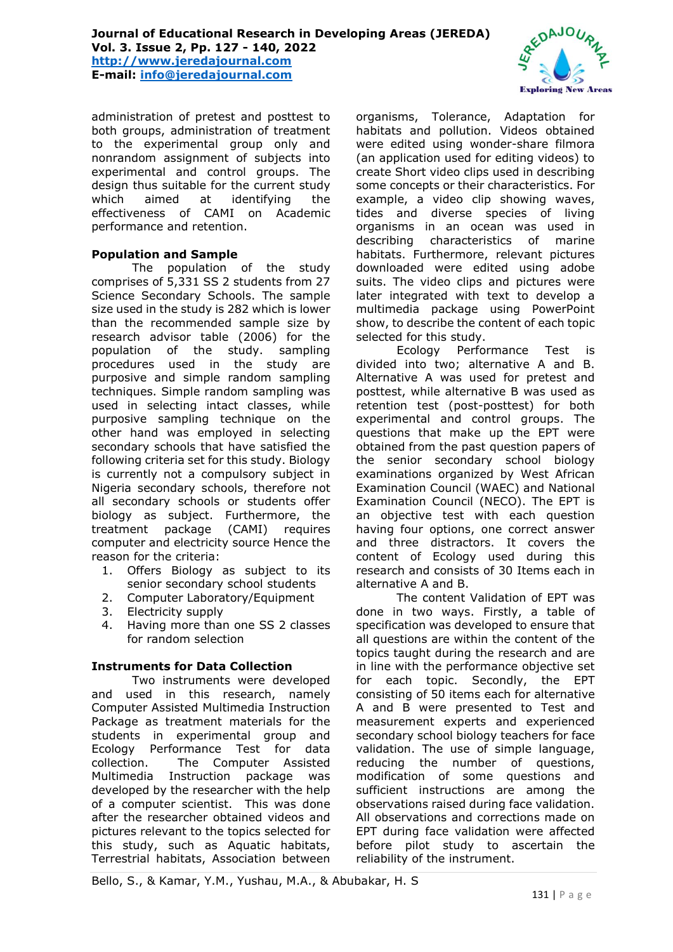administration of pretest and posttest to both groups, administration of treatment to the experimental group only and nonrandom assignment of subjects into experimental and control groups. The design thus suitable for the current study which aimed at identifying the effectiveness of CAMI on Academic performance and retention.

# **Population and Sample**

The population of the study comprises of 5,331 SS 2 students from 27 Science Secondary Schools. The sample size used in the study is 282 which is lower than the recommended sample size by research advisor table (2006) for the population of the study. sampling procedures used in the study are purposive and simple random sampling techniques. Simple random sampling was used in selecting intact classes, while purposive sampling technique on the other hand was employed in selecting secondary schools that have satisfied the following criteria set for this study. Biology is currently not a compulsory subject in Nigeria secondary schools, therefore not all secondary schools or students offer biology as subject. Furthermore, the treatment package (CAMI) requires computer and electricity source Hence the reason for the criteria:

- 1. Offers Biology as subject to its senior secondary school students
- 2. Computer Laboratory/Equipment
- 3. Electricity supply
- 4. Having more than one SS 2 classes for random selection

#### **Instruments for Data Collection**

Two instruments were developed and used in this research, namely Computer Assisted Multimedia Instruction Package as treatment materials for the students in experimental group and Ecology Performance Test for data collection. The Computer Assisted Multimedia Instruction package was developed by the researcher with the help of a computer scientist. This was done after the researcher obtained videos and pictures relevant to the topics selected for this study, such as Aquatic habitats, Terrestrial habitats, Association between

organisms, Tolerance, Adaptation for habitats and pollution. Videos obtained were edited using wonder-share filmora (an application used for editing videos) to create Short video clips used in describing some concepts or their characteristics. For example, a video clip showing waves, tides and diverse species of living organisms in an ocean was used in describing characteristics of marine habitats. Furthermore, relevant pictures downloaded were edited using adobe suits. The video clips and pictures were later integrated with text to develop a multimedia package using PowerPoint show, to describe the content of each topic selected for this study.

Ecology Performance Test is divided into two; alternative A and B. Alternative A was used for pretest and posttest, while alternative B was used as retention test (post-posttest) for both experimental and control groups. The questions that make up the EPT were obtained from the past question papers of the senior secondary school biology examinations organized by West African Examination Council (WAEC) and National Examination Council (NECO). The EPT is an objective test with each question having four options, one correct answer and three distractors. It covers the content of Ecology used during this research and consists of 30 Items each in alternative A and B.

The content Validation of EPT was done in two ways. Firstly, a table of specification was developed to ensure that all questions are within the content of the topics taught during the research and are in line with the performance objective set for each topic. Secondly, the EPT consisting of 50 items each for alternative A and B were presented to Test and measurement experts and experienced secondary school biology teachers for face validation. The use of simple language, reducing the number of questions, modification of some questions and sufficient instructions are among the observations raised during face validation. All observations and corrections made on EPT during face validation were affected before pilot study to ascertain the reliability of the instrument.



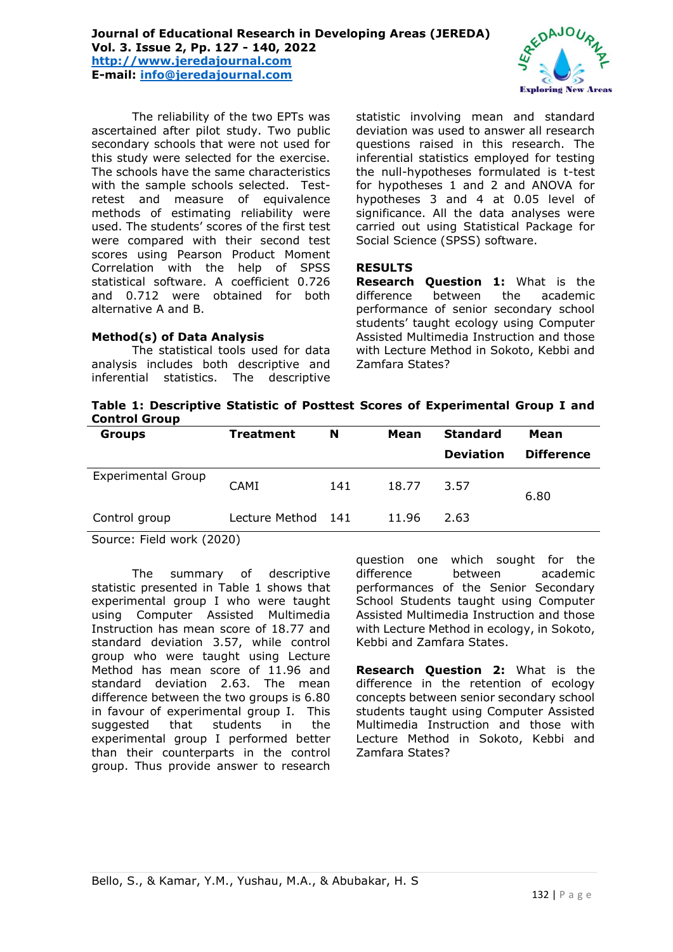

The reliability of the two EPTs was ascertained after pilot study. Two public secondary schools that were not used for this study were selected for the exercise. The schools have the same characteristics with the sample schools selected. Testretest and measure of equivalence methods of estimating reliability were used. The students' scores of the first test were compared with their second test scores using Pearson Product Moment Correlation with the help of SPSS statistical software. A coefficient 0.726 and 0.712 were obtained for both alternative A and B.

## **Method(s) of Data Analysis**

The statistical tools used for data analysis includes both descriptive and inferential statistics. The descriptive

statistic involving mean and standard deviation was used to answer all research questions raised in this research. The inferential statistics employed for testing the null-hypotheses formulated is t-test for hypotheses 1 and 2 and ANOVA for hypotheses 3 and 4 at 0.05 level of significance. All the data analyses were carried out using Statistical Package for Social Science (SPSS) software.

### **RESULTS**

**Research Question 1:** What is the difference between the academic performance of senior secondary school students' taught ecology using Computer Assisted Multimedia Instruction and those with Lecture Method in Sokoto, Kebbi and Zamfara States?

| Table 1: Descriptive Statistic of Posttest Scores of Experimental Group I and |  |  |  |  |
|-------------------------------------------------------------------------------|--|--|--|--|
| <b>Control Group</b>                                                          |  |  |  |  |

| <b>Groups</b>             | <b>Treatment</b>   | N<br>Mean |       | <b>Standard</b>  | Mean              |  |
|---------------------------|--------------------|-----------|-------|------------------|-------------------|--|
|                           |                    |           |       | <b>Deviation</b> | <b>Difference</b> |  |
| <b>Experimental Group</b> | <b>CAMI</b>        | 141       | 18.77 | 3.57             | 6.80              |  |
| Control group             | Lecture Method 141 |           | 11.96 | 2.63             |                   |  |

Source: Field work (2020)

The summary of descriptive statistic presented in Table 1 shows that experimental group I who were taught using Computer Assisted Multimedia Instruction has mean score of 18.77 and standard deviation 3.57, while control group who were taught using Lecture Method has mean score of 11.96 and standard deviation 2.63. The mean difference between the two groups is 6.80 in favour of experimental group I. This suggested that students in the experimental group I performed better than their counterparts in the control group. Thus provide answer to research

question one which sought for the difference between academic performances of the Senior Secondary School Students taught using Computer Assisted Multimedia Instruction and those with Lecture Method in ecology, in Sokoto, Kebbi and Zamfara States.

**Research Question 2:** What is the difference in the retention of ecology concepts between senior secondary school students taught using Computer Assisted Multimedia Instruction and those with Lecture Method in Sokoto, Kebbi and Zamfara States?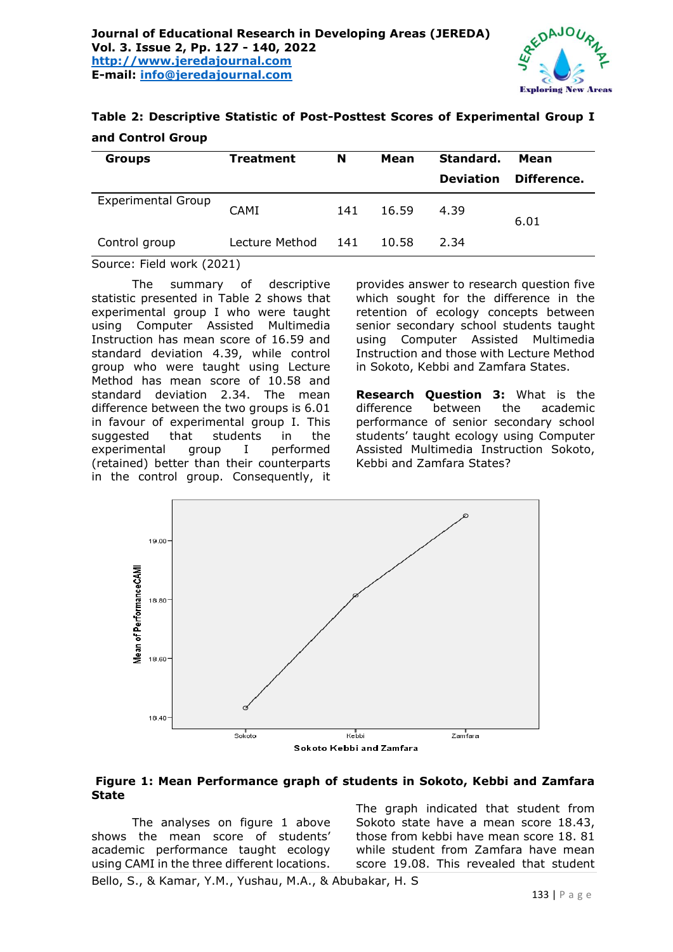

| Table 2: Descriptive Statistic of Post-Posttest Scores of Experimental Group I |  |  |  |
|--------------------------------------------------------------------------------|--|--|--|
| and Control Group                                                              |  |  |  |

| <b>Groups</b>             | <b>Treatment</b> | N     | Mean  | Standard.        | Mean        |
|---------------------------|------------------|-------|-------|------------------|-------------|
|                           |                  |       |       | <b>Deviation</b> | Difference. |
| <b>Experimental Group</b> | <b>CAMI</b>      | 141   | 16.59 | 4.39             | 6.01        |
| Control group             | Lecture Method   | - 141 | 10.58 | 2.34             |             |

#### Source: Field work (2021)

The summary of descriptive statistic presented in Table 2 shows that experimental group I who were taught using Computer Assisted Multimedia Instruction has mean score of 16.59 and standard deviation 4.39, while control group who were taught using Lecture Method has mean score of 10.58 and standard deviation 2.34. The mean difference between the two groups is 6.01 in favour of experimental group I. This suggested that students in the experimental group I performed (retained) better than their counterparts in the control group. Consequently, it

provides answer to research question five which sought for the difference in the retention of ecology concepts between senior secondary school students taught using Computer Assisted Multimedia Instruction and those with Lecture Method in Sokoto, Kebbi and Zamfara States.

**Research Question 3:** What is the difference between the academic performance of senior secondary school students' taught ecology using Computer Assisted Multimedia Instruction Sokoto, Kebbi and Zamfara States?



#### **Figure 1: Mean Performance graph of students in Sokoto, Kebbi and Zamfara State**

The analyses on figure 1 above shows the mean score of students' academic performance taught ecology using CAMI in the three different locations. The graph indicated that student from Sokoto state have a mean score 18.43, those from kebbi have mean score 18. 81 while student from Zamfara have mean score 19.08. This revealed that student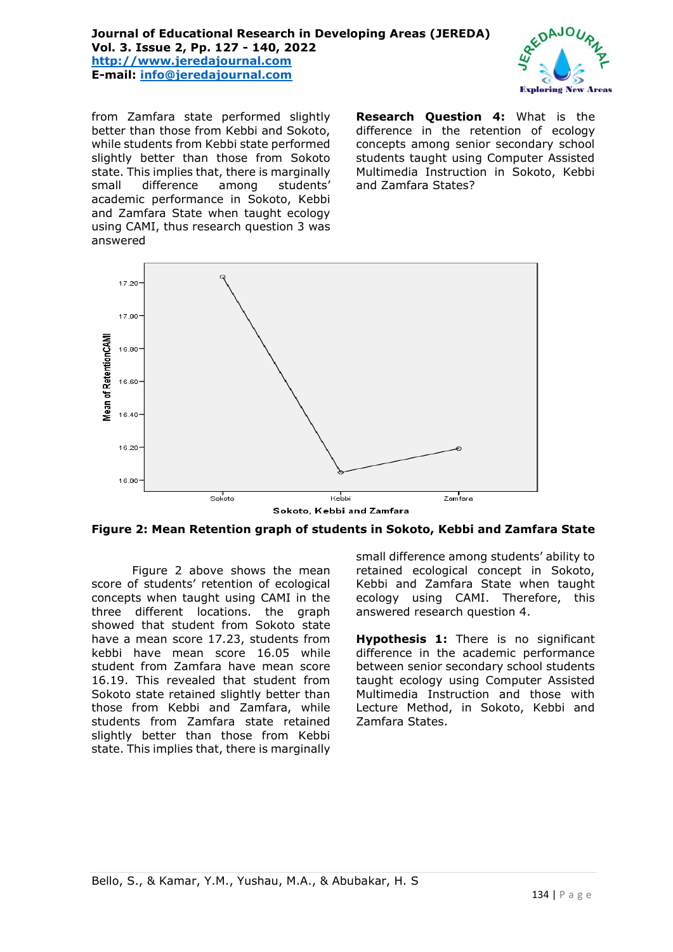# **Journal of Educational Research in Developing Areas (JEREDA) Vol. 3. Issue 2, Pp. 127 - 140, 2022 [http://www.jeredajournal.com](http://www.jeredajournal.com/) E-mail: [info@jeredajournal.com](mailto:info@jeredajournal.com)**



from Zamfara state performed slightly better than those from Kebbi and Sokoto, while students from Kebbi state performed slightly better than those from Sokoto state. This implies that, there is marginally small difference among students' academic performance in Sokoto, Kebbi and Zamfara State when taught ecology using CAMI, thus research question 3 was answered

**Research Question 4:** What is the difference in the retention of ecology concepts among senior secondary school students taught using Computer Assisted Multimedia Instruction in Sokoto, Kebbi and Zamfara States?



**Figure 2: Mean Retention graph of students in Sokoto, Kebbi and Zamfara State** 

Figure 2 above shows the mean score of students' retention of ecological concepts when taught using CAMI in the three different locations. the graph showed that student from Sokoto state have a mean score 17.23, students from kebbi have mean score 16.05 while student from Zamfara have mean score 16.19. This revealed that student from Sokoto state retained slightly better than those from Kebbi and Zamfara, while students from Zamfara state retained slightly better than those from Kebbi state. This implies that, there is marginally

small difference among students' ability to retained ecological concept in Sokoto, Kebbi and Zamfara State when taught ecology using CAMI. Therefore, this answered research question 4.

**Hypothesis 1:** There is no significant difference in the academic performance between senior secondary school students taught ecology using Computer Assisted Multimedia Instruction and those with Lecture Method, in Sokoto, Kebbi and Zamfara States.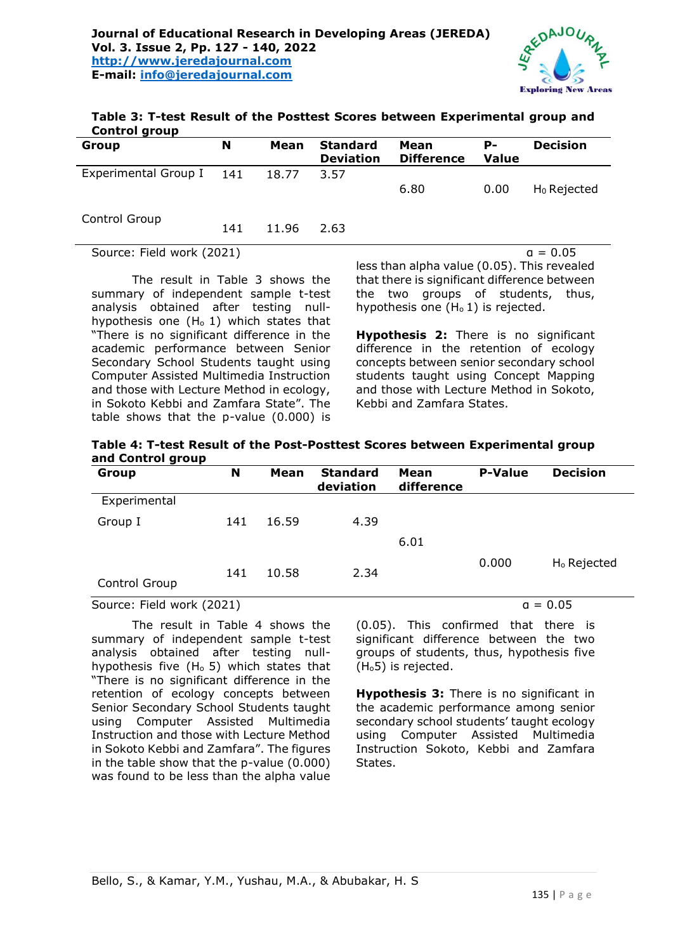

**Table 3: T-test Result of the Posttest Scores between Experimental group and Control group** 

| Group                     | N   | Mean  | <b>Standard</b><br><b>Deviation</b> | Mean<br><b>Difference</b> | р.<br><b>Value</b> | <b>Decision</b> |
|---------------------------|-----|-------|-------------------------------------|---------------------------|--------------------|-----------------|
| Experimental Group I 141  |     | 18.77 | 3.57                                |                           |                    |                 |
|                           |     |       |                                     | 6.80                      | 0.00               | $H_0$ Rejected  |
|                           |     |       |                                     |                           |                    |                 |
| Control Group             | 141 | 11.96 | 2.63                                |                           |                    |                 |
| Source: Field work (2021) |     |       |                                     |                           |                    | $a = 0.05$      |

The result in Table 3 shows the summary of independent sample t-test analysis obtained after testing nullhypothesis one  $(H_0 1)$  which states that "There is no significant difference in the academic performance between Senior Secondary School Students taught using Computer Assisted Multimedia Instruction and those with Lecture Method in ecology, in Sokoto Kebbi and Zamfara State". The table shows that the p-value (0.000) is

less than alpha value (0.05). This revealed that there is significant difference between the two groups of students, thus, hypothesis one  $(H<sub>0</sub> 1)$  is rejected.

**Hypothesis 2:** There is no significant difference in the retention of ecology concepts between senior secondary school students taught using Concept Mapping and those with Lecture Method in Sokoto, Kebbi and Zamfara States.

| Table 4: T-test Result of the Post-Posttest Scores between Experimental group |  |
|-------------------------------------------------------------------------------|--|
| and Control group                                                             |  |

| Group         | N   | Mean  | <b>Standard</b><br>deviation | Mean<br>difference | <b>P-Value</b> | <b>Decision</b>         |
|---------------|-----|-------|------------------------------|--------------------|----------------|-------------------------|
| Experimental  |     |       |                              |                    |                |                         |
| Group I       | 141 | 16.59 | 4.39                         | 6.01               |                |                         |
| Control Group | 141 | 10.58 | 2.34                         |                    | 0.000          | H <sub>o</sub> Rejected |

# Source: Field work  $(2021)$  and  $a = 0.05$

The result in Table 4 shows the summary of independent sample t-test analysis obtained after testing nullhypothesis five  $(H_0 5)$  which states that "There is no significant difference in the retention of ecology concepts between Senior Secondary School Students taught using Computer Assisted Multimedia Instruction and those with Lecture Method in Sokoto Kebbi and Zamfara". The figures in the table show that the p-value (0.000) was found to be less than the alpha value

(0.05). This confirmed that there is significant difference between the two groups of students, thus, hypothesis five (Ho5) is rejected.

**Hypothesis 3:** There is no significant in the academic performance among senior secondary school students' taught ecology using Computer Assisted Multimedia Instruction Sokoto, Kebbi and Zamfara States.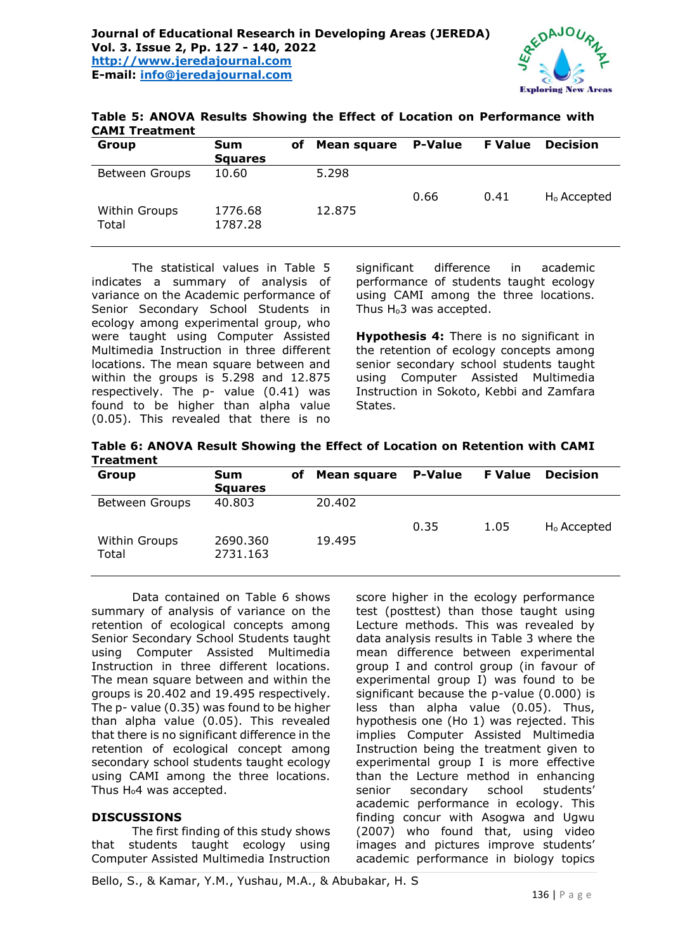

| <b>CAMI Treatment</b>  |                              |    |             |                |                |                         |
|------------------------|------------------------------|----|-------------|----------------|----------------|-------------------------|
| Group                  | <b>Sum</b><br><b>Squares</b> | оf | Mean square | <b>P-Value</b> | <b>F</b> Value | <b>Decision</b>         |
| <b>Between Groups</b>  | 10.60                        |    | 5.298       | 0.66           | 0.41           | H <sub>o</sub> Accepted |
| Within Groups<br>Total | 1776.68<br>1787.28           |    | 12.875      |                |                |                         |

**Table 5: ANOVA Results Showing the Effect of Location on Performance with** 

The statistical values in Table 5 indicates a summary of analysis of variance on the Academic performance of Senior Secondary School Students in ecology among experimental group, who were taught using Computer Assisted Multimedia Instruction in three different locations. The mean square between and within the groups is 5.298 and 12.875 respectively. The p- value (0.41) was found to be higher than alpha value (0.05). This revealed that there is no

significant difference in academic performance of students taught ecology using CAMI among the three locations. Thus H<sub>0</sub>3 was accepted.

**Hypothesis 4:** There is no significant in the retention of ecology concepts among senior secondary school students taught using Computer Assisted Multimedia Instruction in Sokoto, Kebbi and Zamfara States.

**Table 6: ANOVA Result Showing the Effect of Location on Retention with CAMI Treatment** 

| Group                  | <b>Sum</b><br><b>Squares</b> | оf | Mean square | <b>P-Value</b> | <b>F</b> Value | <b>Decision</b>         |
|------------------------|------------------------------|----|-------------|----------------|----------------|-------------------------|
| <b>Between Groups</b>  | 40.803                       |    | 20.402      |                |                |                         |
| Within Groups<br>Total | 2690.360<br>2731.163         |    | 19.495      | 0.35           | 1.05           | H <sub>o</sub> Accepted |

Data contained on Table 6 shows summary of analysis of variance on the retention of ecological concepts among Senior Secondary School Students taught using Computer Assisted Multimedia Instruction in three different locations. The mean square between and within the groups is 20.402 and 19.495 respectively. The p- value (0.35) was found to be higher than alpha value (0.05). This revealed that there is no significant difference in the retention of ecological concept among secondary school students taught ecology using CAMI among the three locations. Thus  $H_0$ 4 was accepted.

#### **DISCUSSIONS**

The first finding of this study shows that students taught ecology using Computer Assisted Multimedia Instruction

score higher in the ecology performance test (posttest) than those taught using Lecture methods. This was revealed by data analysis results in Table 3 where the mean difference between experimental group I and control group (in favour of experimental group I) was found to be significant because the p-value (0.000) is less than alpha value (0.05). Thus, hypothesis one (Ho 1) was rejected. This implies Computer Assisted Multimedia Instruction being the treatment given to experimental group I is more effective than the Lecture method in enhancing senior secondary school students' academic performance in ecology. This finding concur with Asogwa and Ugwu (2007) who found that, using video images and pictures improve students' academic performance in biology topics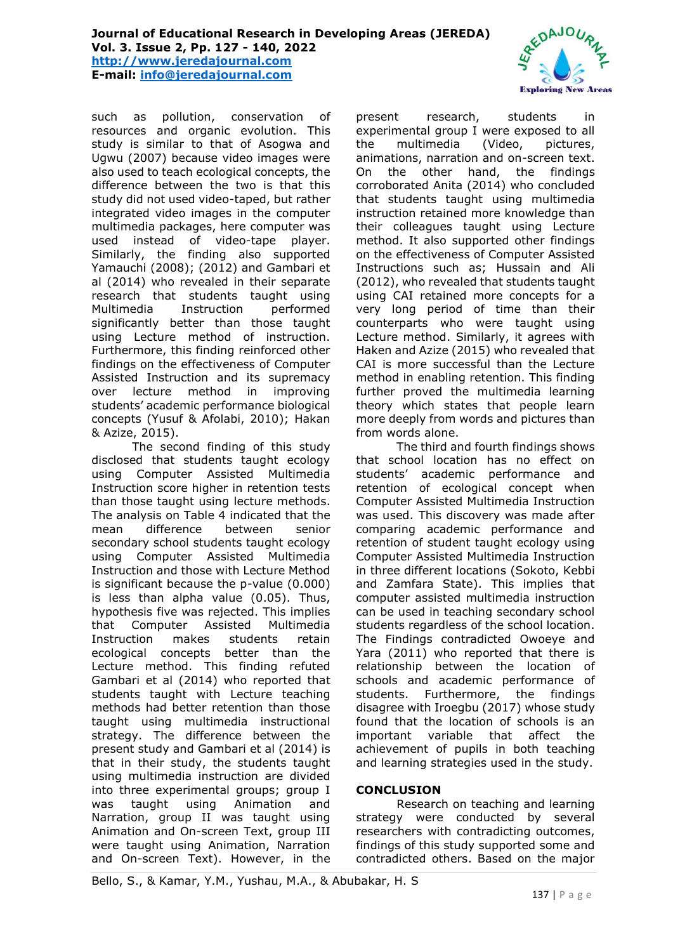**E-mail: [info@jeredajournal.com](mailto:info@jeredajournal.com)**



such as pollution, conservation of resources and organic evolution. This study is similar to that of Asogwa and Ugwu (2007) because video images were also used to teach ecological concepts, the difference between the two is that this study did not used video-taped, but rather integrated video images in the computer multimedia packages, here computer was used instead of video-tape player. Similarly, the finding also supported Yamauchi (2008); (2012) and Gambari et al (2014) who revealed in their separate research that students taught using Multimedia Instruction performed significantly better than those taught using Lecture method of instruction. Furthermore, this finding reinforced other findings on the effectiveness of Computer Assisted Instruction and its supremacy over lecture method in improving students' academic performance biological concepts (Yusuf & Afolabi, 2010); Hakan & Azize, 2015).

The second finding of this study disclosed that students taught ecology using Computer Assisted Multimedia Instruction score higher in retention tests than those taught using lecture methods. The analysis on Table 4 indicated that the mean difference between senior secondary school students taught ecology using Computer Assisted Multimedia Instruction and those with Lecture Method is significant because the p-value (0.000) is less than alpha value (0.05). Thus, hypothesis five was rejected. This implies that Computer Assisted Multimedia Instruction makes students retain ecological concepts better than the Lecture method. This finding refuted Gambari et al (2014) who reported that students taught with Lecture teaching methods had better retention than those taught using multimedia instructional strategy. The difference between the present study and Gambari et al (2014) is that in their study, the students taught using multimedia instruction are divided into three experimental groups; group I was taught using Animation and Narration, group II was taught using Animation and On-screen Text, group III were taught using Animation, Narration and On-screen Text). However, in the

present research, students in experimental group I were exposed to all the multimedia (Video, pictures, animations, narration and on-screen text. On the other hand, the findings corroborated Anita (2014) who concluded that students taught using multimedia instruction retained more knowledge than their colleagues taught using Lecture method. It also supported other findings on the effectiveness of Computer Assisted Instructions such as; Hussain and Ali (2012), who revealed that students taught using CAI retained more concepts for a very long period of time than their counterparts who were taught using Lecture method. Similarly, it agrees with Haken and Azize (2015) who revealed that CAI is more successful than the Lecture method in enabling retention. This finding further proved the multimedia learning theory which states that people learn more deeply from words and pictures than from words alone.

The third and fourth findings shows that school location has no effect on students' academic performance and retention of ecological concept when Computer Assisted Multimedia Instruction was used. This discovery was made after comparing academic performance and retention of student taught ecology using Computer Assisted Multimedia Instruction in three different locations (Sokoto, Kebbi and Zamfara State). This implies that computer assisted multimedia instruction can be used in teaching secondary school students regardless of the school location. The Findings contradicted Owoeye and Yara (2011) who reported that there is relationship between the location of schools and academic performance of students. Furthermore, the findings disagree with Iroegbu (2017) whose study found that the location of schools is an important variable that affect the achievement of pupils in both teaching and learning strategies used in the study.

# **CONCLUSION**

Research on teaching and learning strategy were conducted by several researchers with contradicting outcomes, findings of this study supported some and contradicted others. Based on the major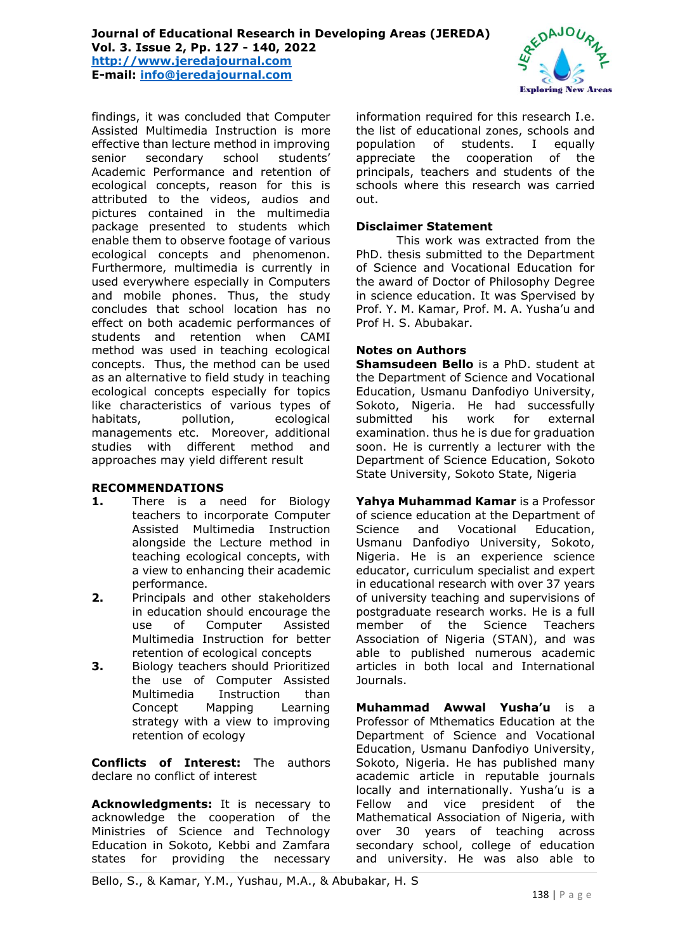#### **Journal of Educational Research in Developing Areas (JEREDA) Vol. 3. Issue 2, Pp. 127 - 140, 2022**

**[http://www.jeredajournal.com](http://www.jeredajournal.com/) E-mail: [info@jeredajournal.com](mailto:info@jeredajournal.com)**



findings, it was concluded that Computer Assisted Multimedia Instruction is more effective than lecture method in improving senior secondary school students' Academic Performance and retention of ecological concepts, reason for this is attributed to the videos, audios and pictures contained in the multimedia package presented to students which enable them to observe footage of various ecological concepts and phenomenon. Furthermore, multimedia is currently in used everywhere especially in Computers and mobile phones. Thus, the study concludes that school location has no effect on both academic performances of students and retention when CAMI method was used in teaching ecological concepts. Thus, the method can be used as an alternative to field study in teaching ecological concepts especially for topics like characteristics of various types of habitats, pollution, ecological managements etc. Moreover, additional studies with different method and approaches may yield different result

# **RECOMMENDATIONS**

- **1.** There is a need for Biology teachers to incorporate Computer Assisted Multimedia Instruction alongside the Lecture method in teaching ecological concepts, with a view to enhancing their academic performance.
- **2.** Principals and other stakeholders in education should encourage the use of Computer Assisted Multimedia Instruction for better retention of ecological concepts
- **3.** Biology teachers should Prioritized the use of Computer Assisted Multimedia Instruction than Concept Mapping Learning strategy with a view to improving retention of ecology

**Conflicts of Interest:** The authors declare no conflict of interest

**Acknowledgments:** It is necessary to acknowledge the cooperation of the Ministries of Science and Technology Education in Sokoto, Kebbi and Zamfara states for providing the necessary

information required for this research I.e. the list of educational zones, schools and population of students. I equally appreciate the cooperation of the principals, teachers and students of the schools where this research was carried out.

### **Disclaimer Statement**

This work was extracted from the PhD. thesis submitted to the Department of Science and Vocational Education for the award of Doctor of Philosophy Degree in science education. It was Spervised by Prof. Y. M. Kamar, Prof. M. A. Yusha'u and Prof H. S. Abubakar.

## **Notes on Authors**

**Shamsudeen Bello** is a PhD. student at the Department of Science and Vocational Education, Usmanu Danfodiyo University, Sokoto, Nigeria. He had successfully submitted his work for external examination. thus he is due for graduation soon. He is currently a lecturer with the Department of Science Education, Sokoto State University, Sokoto State, Nigeria

**Yahya Muhammad Kamar** is a Professor of science education at the Department of Science and Vocational Education, Usmanu Danfodiyo University, Sokoto, Nigeria. He is an experience science educator, curriculum specialist and expert in educational research with over 37 years of university teaching and supervisions of postgraduate research works. He is a full member of the Science Teachers Association of Nigeria (STAN), and was able to published numerous academic articles in both local and International Journals.

**Muhammad Awwal Yusha'u** is a Professor of Mthematics Education at the Department of Science and Vocational Education, Usmanu Danfodiyo University, Sokoto, Nigeria. He has published many academic article in reputable journals locally and internationally. Yusha'u is a Fellow and vice president of the Mathematical Association of Nigeria, with over 30 years of teaching across secondary school, college of education and university. He was also able to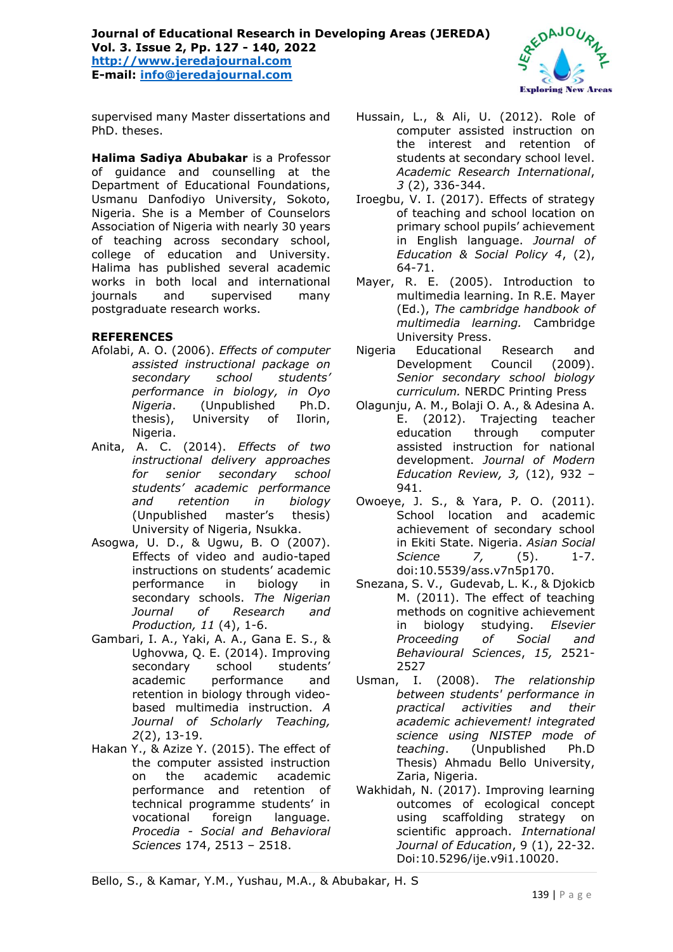# **Journal of Educational Research in Developing Areas (JEREDA) Vol. 3. Issue 2, Pp. 127 - 140, 2022 [http://www.jeredajournal.com](http://www.jeredajournal.com/) E-mail: [info@jeredajournal.com](mailto:info@jeredajournal.com)**



supervised many Master dissertations and PhD. theses.

**Halima Sadiya Abubakar** is a Professor of guidance and counselling at the Department of Educational Foundations, Usmanu Danfodiyo University, Sokoto, Nigeria. She is a Member of Counselors Association of Nigeria with nearly 30 years of teaching across secondary school, college of education and University. Halima has published several academic works in both local and international journals and supervised many postgraduate research works.

# **REFERENCES**

- Afolabi, A. O. (2006). *Effects of computer assisted instructional package on secondary school students' performance in biology, in Oyo Nigeria*. (Unpublished Ph.D. thesis), University of Ilorin, Nigeria.
- Anita, A. C. (2014). *Effects of two instructional delivery approaches for senior secondary school students' academic performance and retention in biology* (Unpublished master's thesis) University of Nigeria, Nsukka.
- Asogwa, U. D., & Ugwu, B. O (2007). Effects of video and audio-taped instructions on students' academic performance in biology in secondary schools. *The Nigerian Journal of Research and Production, 11* (4), 1-6.
- Gambari, I. A., Yaki, A. A., Gana E. S., & Ughovwa, Q. E. (2014). Improving secondary school students' academic performance and retention in biology through videobased multimedia instruction. *A Journal of Scholarly Teaching, 2*(2), 13-19.
- Hakan Y., & Azize Y. (2015). The effect of the computer assisted instruction on the academic academic performance and retention of technical programme students' in vocational foreign language. *Procedia - Social and Behavioral Sciences* 174, 2513 – 2518.
- Hussain, L., & Ali, U. (2012). Role of computer assisted instruction on the interest and retention of students at secondary school level. *Academic Research International*, *3* (2), 336-344.
- Iroegbu, V. I. (2017). Effects of strategy of teaching and school location on primary school pupils' achievement in English language. *Journal of Education & Social Policy 4*, (2), 64-71.
- Mayer, R. E. (2005). Introduction to multimedia learning. In R.E. Mayer (Ed.), *The cambridge handbook of multimedia learning.* Cambridge University Press.
- Nigeria Educational Research and Development Council (2009). *Senior secondary school biology curriculum.* NERDC Printing Press
- Olagunju, A. M., Bolaji O. A., & Adesina A. E. (2012). Trajecting teacher education through computer assisted instruction for national development. *Journal of Modern Education Review, 3,* (12), 932 – 941.
- Owoeye, J. S., & Yara, P. O. (2011). School location and academic achievement of secondary school in Ekiti State. Nigeria. *Asian Social Science 7,* (5). 1-7. doi:10.5539/ass.v7n5p170.
- Snezana, S. V., Gudevab, L. K., & Djokicb M. (2011). The effect of teaching methods on cognitive achievement in biology studying. *Elsevier Proceeding of Social and Behavioural Sciences*, *15,* 2521- 2527
- Usman, I. (2008). *The relationship between students' performance in practical activities and their academic achievement! integrated science using NISTEP mode of teaching*. (Unpublished Ph.D Thesis) Ahmadu Bello University, Zaria, Nigeria.
- Wakhidah, N. (2017). Improving learning outcomes of ecological concept using scaffolding strategy on scientific approach. *International Journal of Education*, 9 (1), 22-32. Doi:10.5296/ije.v9i1.10020.